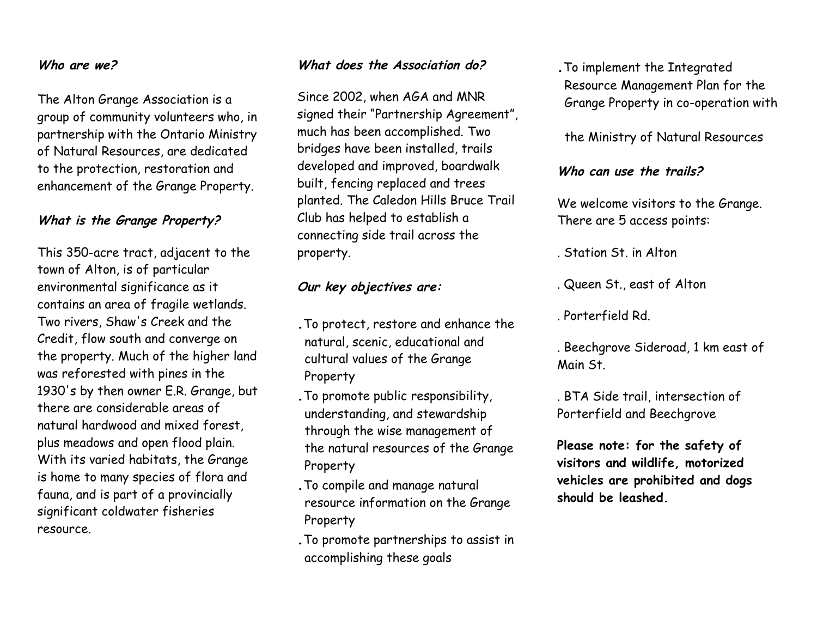#### **Who are we?**

The Alton Grange Association is a group of community volunteers who, in partnership with the Ontario Ministry of Natural Resources, are dedicated to the protection, restoration and enhancement of the Grange Property.

#### **What is the Grange Property?**

This 350-acre tract, adjacent to the town of Alton, is of particular environmental significance as it contains an area of fragile wetlands. Two rivers, Shaw's Creek and the Credit, flow south and converge on the property. Much of the higher land was reforested with pines in the 1930's by then owner E.R. Grange, but there are considerable areas of natural hardwood and mixed forest, plus meadows and open flood plain. With its varied habitats, the Grange is home to many species of flora and fauna, and is part of a provincially significant coldwater fisheries resource.

#### **What does the Association do?**

Since 2002, when AGA and MNR signed their "Partnership Agreement", much has been accomplished. Two bridges have been installed, trails developed and improved, boardwalk built, fencing replaced and trees planted. The Caledon Hills Bruce Trail Club has helped to establish a connecting side trail across the property.

## **Our key objectives are:**

**.**To protect, restore and enhance the natural, scenic, educational and cultural values of the Grange Property

- **.**To promote public responsibility, understanding, and stewardship through the wise management of the natural resources of the Grange Property
- **.**To compile and manage natural resource information on the Grange Property
- **.**To promote partnerships to assist in accomplishing these goals

**.**To implement the Integrated Resource Management Plan for the Grange Property in co-operation with

#### the Ministry of Natural Resources

#### **Who can use the trails?**

We welcome visitors to the Grange. There are 5 access points:

. Station St. in Alton

. Queen St., east of Alton

. Porterfield Rd.

. Beechgrove Sideroad, 1 km east of Main St.

. BTA Side trail, intersection of Porterfield and Beechgrove

**Please note: for the safety of visitors and wildlife, motorized vehicles are prohibited and dogs should be leashed.**